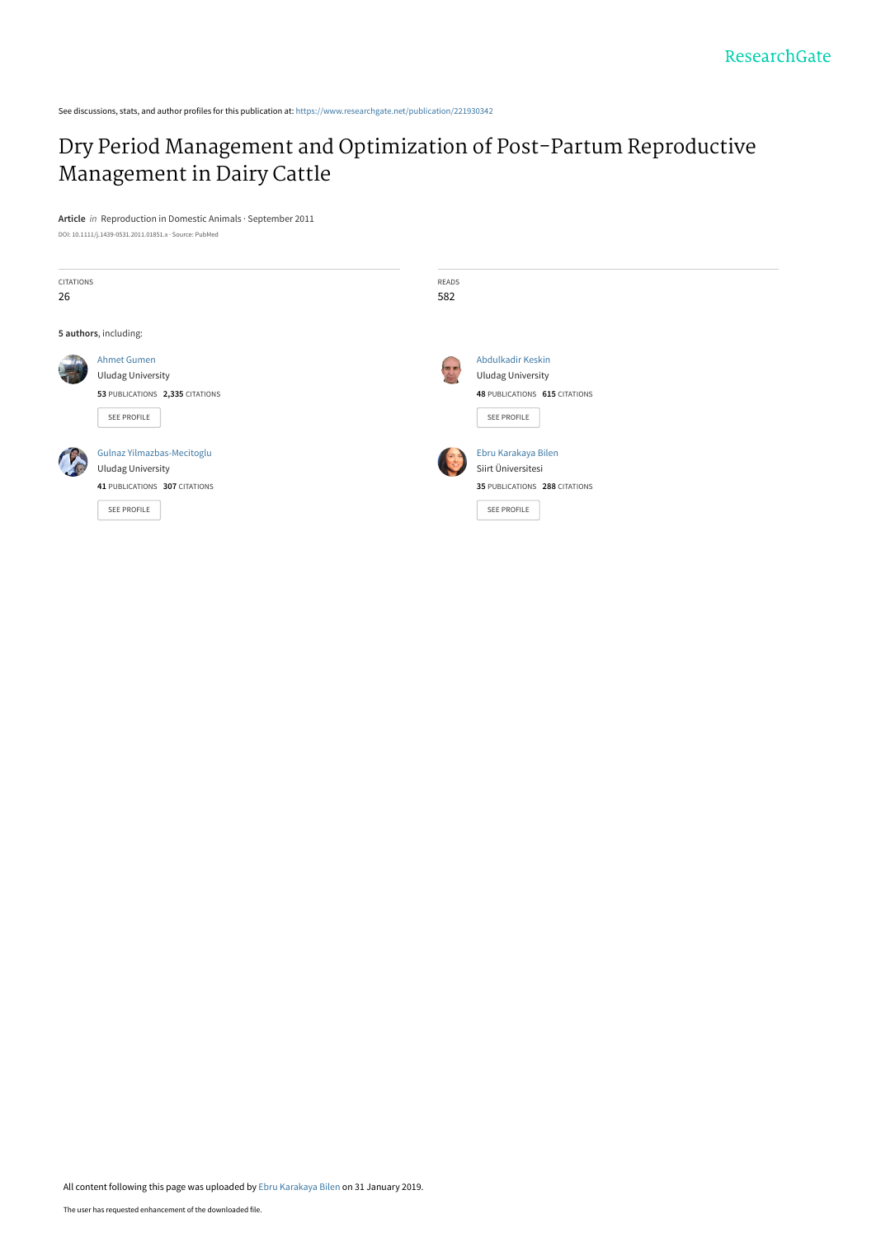See discussions, stats, and author profiles for this publication at: [https://www.researchgate.net/publication/221930342](https://www.researchgate.net/publication/221930342_Dry_Period_Management_and_Optimization_of_Post-Partum_Reproductive_Management_in_Dairy_Cattle?enrichId=rgreq-5d41ea53097ef2604242adf1741a2f96-XXX&enrichSource=Y292ZXJQYWdlOzIyMTkzMDM0MjtBUzo3MjEwNDY3MjY1MTI2NDRAMTU0ODkyMjM0NDI0NA%3D%3D&el=1_x_2&_esc=publicationCoverPdf)

## [Dry Period Management and Optimization of Post-Partum Reproductive](https://www.researchgate.net/publication/221930342_Dry_Period_Management_and_Optimization_of_Post-Partum_Reproductive_Management_in_Dairy_Cattle?enrichId=rgreq-5d41ea53097ef2604242adf1741a2f96-XXX&enrichSource=Y292ZXJQYWdlOzIyMTkzMDM0MjtBUzo3MjEwNDY3MjY1MTI2NDRAMTU0ODkyMjM0NDI0NA%3D%3D&el=1_x_3&_esc=publicationCoverPdf) Management in Dairy Cattle

**Article** in Reproduction in Domestic Animals · September 2011 DOI: 10.1111/j.1439-0531.2011.01851.x · Source: PubMed

| CITATIONS<br>26       |                                                                                                        | <b>READS</b><br>582 |                                                                                               |  |  |  |  |  |
|-----------------------|--------------------------------------------------------------------------------------------------------|---------------------|-----------------------------------------------------------------------------------------------|--|--|--|--|--|
| 5 authors, including: |                                                                                                        |                     |                                                                                               |  |  |  |  |  |
|                       | <b>Ahmet Gumen</b><br><b>Uludag University</b><br>53 PUBLICATIONS 2,335 CITATIONS<br>SEE PROFILE       | 四回<br>bo            | Abdulkadir Keskin<br><b>Uludag University</b><br>48 PUBLICATIONS 615 CITATIONS<br>SEE PROFILE |  |  |  |  |  |
|                       | Gulnaz Yilmazbas-Mecitoglu<br><b>Uludag University</b><br>41 PUBLICATIONS 307 CITATIONS<br>SEE PROFILE |                     | Ebru Karakaya Bilen<br>Siirt Üniversitesi<br>35 PUBLICATIONS 288 CITATIONS<br>SEE PROFILE     |  |  |  |  |  |

All content following this page was uploaded by [Ebru Karakaya Bilen](https://www.researchgate.net/profile/Ebru-Karakaya-Bilen?enrichId=rgreq-5d41ea53097ef2604242adf1741a2f96-XXX&enrichSource=Y292ZXJQYWdlOzIyMTkzMDM0MjtBUzo3MjEwNDY3MjY1MTI2NDRAMTU0ODkyMjM0NDI0NA%3D%3D&el=1_x_10&_esc=publicationCoverPdf) on 31 January 2019.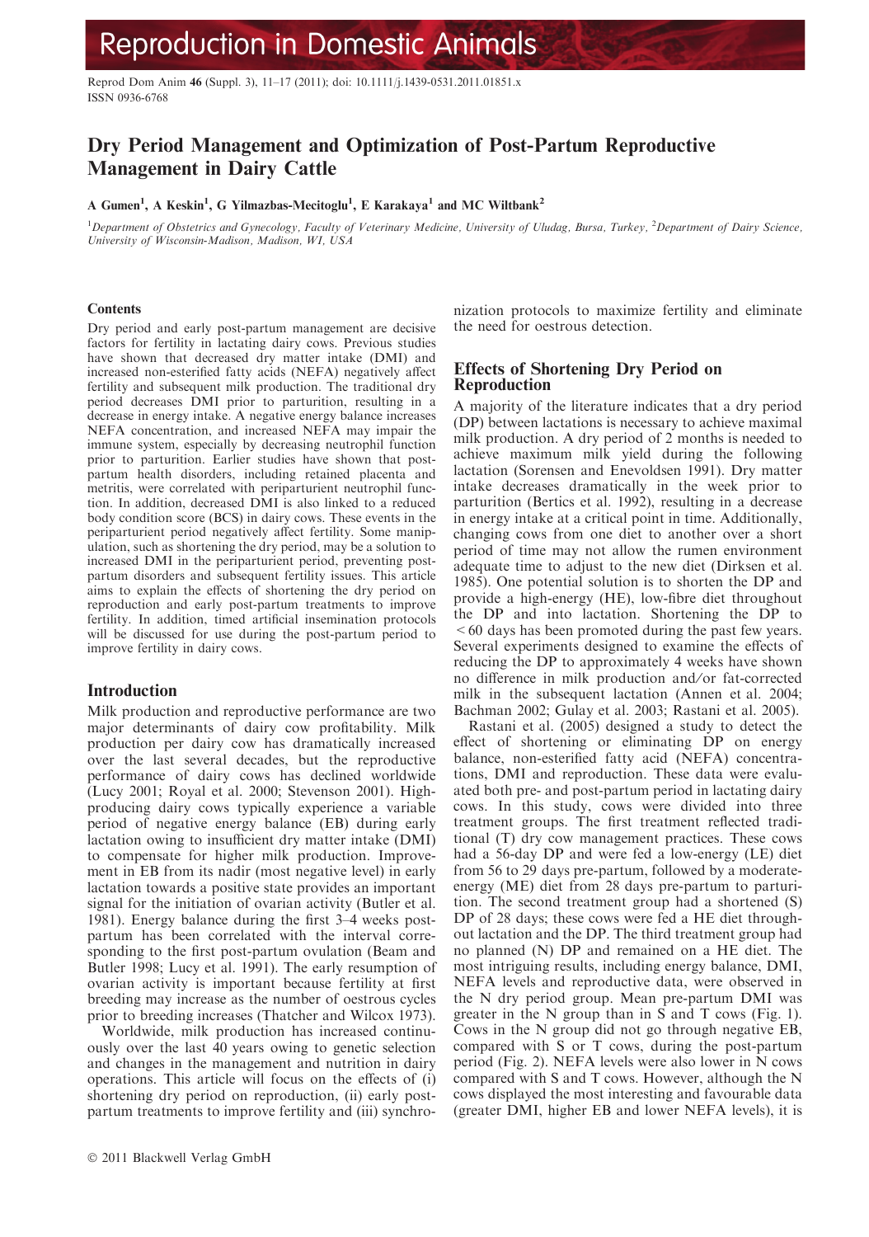# **Reproduction in Domestic Animals**

Reprod Dom Anim 46 (Suppl. 3), 11–17 (2011); doi: 10.1111/j.1439-0531.2011.01851.x ISSN 0936-6768

### Dry Period Management and Optimization of Post-Partum Reproductive Management in Dairy Cattle

A Gumen<sup>1</sup>, A Keskin<sup>1</sup>, G Yilmazbas-Mecitoglu<sup>1</sup>, E Karakaya<sup>1</sup> and MC Wiltbank<sup>2</sup>

<sup>1</sup>Department of Obstetrics and Gynecology, Faculty of Veterinary Medicine, University of Uludag, Bursa, Turkey, <sup>2</sup>Department of Dairy Science, University of Wisconsin-Madison, Madison, WI, USA

#### **Contents**

Dry period and early post-partum management are decisive factors for fertility in lactating dairy cows. Previous studies have shown that decreased dry matter intake (DMI) and increased non-esterified fatty acids (NEFA) negatively affect fertility and subsequent milk production. The traditional dry period decreases DMI prior to parturition, resulting in a decrease in energy intake. A negative energy balance increases NEFA concentration, and increased NEFA may impair the immune system, especially by decreasing neutrophil function prior to parturition. Earlier studies have shown that postpartum health disorders, including retained placenta and metritis, were correlated with periparturient neutrophil function. In addition, decreased DMI is also linked to a reduced body condition score (BCS) in dairy cows. These events in the periparturient period negatively affect fertility. Some manipulation, such as shortening the dry period, may be a solution to increased DMI in the periparturient period, preventing postpartum disorders and subsequent fertility issues. This article aims to explain the effects of shortening the dry period on reproduction and early post-partum treatments to improve fertility. In addition, timed artificial insemination protocols will be discussed for use during the post-partum period to improve fertility in dairy cows.

#### Introduction

Milk production and reproductive performance are two major determinants of dairy cow profitability. Milk production per dairy cow has dramatically increased over the last several decades, but the reproductive performance of dairy cows has declined worldwide (Lucy 2001; Royal et al. 2000; Stevenson 2001). Highproducing dairy cows typically experience a variable period of negative energy balance (EB) during early lactation owing to insufficient dry matter intake (DMI) to compensate for higher milk production. Improvement in EB from its nadir (most negative level) in early lactation towards a positive state provides an important signal for the initiation of ovarian activity (Butler et al. 1981). Energy balance during the first 3–4 weeks postpartum has been correlated with the interval corresponding to the first post-partum ovulation (Beam and Butler 1998; Lucy et al. 1991). The early resumption of ovarian activity is important because fertility at first breeding may increase as the number of oestrous cycles prior to breeding increases (Thatcher and Wilcox 1973).

Worldwide, milk production has increased continuously over the last 40 years owing to genetic selection and changes in the management and nutrition in dairy operations. This article will focus on the effects of (i) shortening dry period on reproduction, (ii) early postpartum treatments to improve fertility and (iii) synchronization protocols to maximize fertility and eliminate the need for oestrous detection.

#### Effects of Shortening Dry Period on Reproduction

A majority of the literature indicates that a dry period (DP) between lactations is necessary to achieve maximal milk production. A dry period of 2 months is needed to achieve maximum milk yield during the following lactation (Sorensen and Enevoldsen 1991). Dry matter intake decreases dramatically in the week prior to parturition (Bertics et al. 1992), resulting in a decrease in energy intake at a critical point in time. Additionally, changing cows from one diet to another over a short period of time may not allow the rumen environment adequate time to adjust to the new diet (Dirksen et al. 1985). One potential solution is to shorten the DP and provide a high-energy (HE), low-fibre diet throughout the DP and into lactation. Shortening the DP to  $\leq 60$  days has been promoted during the past few years. Several experiments designed to examine the effects of reducing the DP to approximately 4 weeks have shown no difference in milk production and/or fat-corrected milk in the subsequent lactation (Annen et al. 2004; Bachman 2002; Gulay et al. 2003; Rastani et al. 2005).

Rastani et al. (2005) designed a study to detect the effect of shortening or eliminating DP on energy balance, non-esterified fatty acid (NEFA) concentrations, DMI and reproduction. These data were evaluated both pre- and post-partum period in lactating dairy cows. In this study, cows were divided into three treatment groups. The first treatment reflected traditional (T) dry cow management practices. These cows had a 56-day DP and were fed a low-energy (LE) diet from 56 to 29 days pre-partum, followed by a moderateenergy (ME) diet from 28 days pre-partum to parturition. The second treatment group had a shortened (S) DP of 28 days; these cows were fed a HE diet throughout lactation and the DP. The third treatment group had no planned (N) DP and remained on a HE diet. The most intriguing results, including energy balance, DMI, NEFA levels and reproductive data, were observed in the N dry period group. Mean pre-partum DMI was greater in the N group than in S and T cows (Fig. 1). Cows in the N group did not go through negative EB, compared with S or T cows, during the post-partum period (Fig. 2). NEFA levels were also lower in N cows compared with S and T cows. However, although the N cows displayed the most interesting and favourable data (greater DMI, higher EB and lower NEFA levels), it is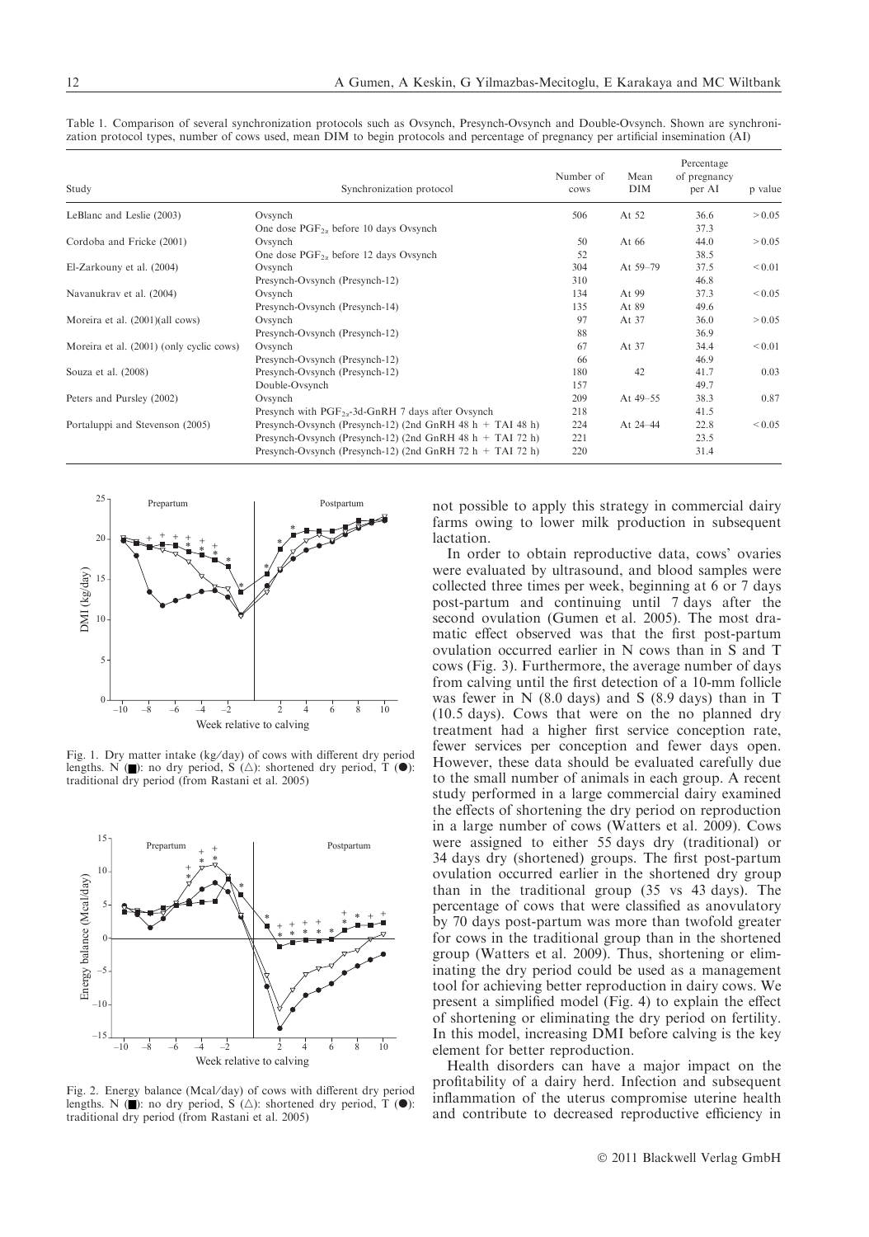| Study                                    | Synchronization protocol                                       | Number of<br>cows | Mean<br><b>DIM</b> | Percentage<br>of pregnancy<br>per AI | p value     |
|------------------------------------------|----------------------------------------------------------------|-------------------|--------------------|--------------------------------------|-------------|
| LeBlanc and Leslie (2003)                | Ovsynch                                                        | 506               | At 52              | 36.6                                 | > 0.05      |
|                                          | One dose $PGF_{2\alpha}$ before 10 days Ovsynch                |                   |                    | 37.3                                 |             |
| Cordoba and Fricke (2001)                | Ovsynch                                                        | 50                | At 66              | 44.0                                 | > 0.05      |
|                                          | One dose $PGF_{2\alpha}$ before 12 days Ovsynch                | 52                |                    | 38.5                                 |             |
| El-Zarkouny et al. (2004)                | Ovsynch                                                        | 304               | At 59-79           | 37.5                                 | < 0.01      |
|                                          | Presynch-Ovsynch (Presynch-12)                                 | 310               |                    | 46.8                                 |             |
| Navanukrav et al. (2004)                 | Ovsynch                                                        | 134               | At 99              | 37.3                                 | ${}_{0.05}$ |
|                                          | Presynch-Ovsynch (Presynch-14)                                 | 135               | At 89              | 49.6                                 |             |
| Moreira et al. (2001)(all cows)          | Ovsynch                                                        | 97                | At 37              | 36.0                                 | > 0.05      |
|                                          | Presynch-Ovsynch (Presynch-12)                                 | 88                |                    | 36.9                                 |             |
| Moreira et al. (2001) (only cyclic cows) | Ovsynch                                                        | 67                | At 37              | 34.4                                 | < 0.01      |
|                                          | Presynch-Ovsynch (Presynch-12)                                 | 66                |                    | 46.9                                 |             |
| Souza et al. (2008)                      | Presynch-Ovsynch (Presynch-12)                                 | 180               | 42                 | 41.7                                 | 0.03        |
|                                          | Double-Ovsynch                                                 | 157               |                    | 49.7                                 |             |
| Peters and Pursley (2002)                | Ovsynch                                                        | 209               | At $49 - 55$       | 38.3                                 | 0.87        |
|                                          | Presynch with $PGF_{2\alpha}$ -3d-GnRH 7 days after Ovsynch    | 218               |                    | 41.5                                 |             |
| Portaluppi and Stevenson (2005)          | Presynch-Ovsynch (Presynch-12) (2nd GnRH 48 $h$ + TAI 48 $h$ ) | 224               | At 24-44           | 22.8                                 | ${}_{0.05}$ |
|                                          | Presynch-Ovsynch (Presynch-12) (2nd GnRH 48 h $+$ TAI 72 h)    | 221               |                    | 23.5                                 |             |
|                                          | Presynch-Ovsynch (Presynch-12) (2nd GnRH 72 $h$ + TAI 72 $h$ ) | 220               |                    | 31.4                                 |             |

Table 1. Comparison of several synchronization protocols such as Ovsynch, Presynch-Ovsynch and Double-Ovsynch. Shown are synchronization protocol types, number of cows used, mean DIM to begin protocols and percentage of pregnancy per artificial insemination (AI)



Fig. 1. Dry matter intake (kg/day) of cows with different dry period lengths. N  $(\blacksquare)$ : no dry period, S  $(\triangle)$ : shortened dry period, T  $(\lozenge)$ : traditional dry period (from Rastani et al. 2005)



Fig. 2. Energy balance (Mcal/day) of cows with different dry period lengths. N  $(\blacksquare)$ : no dry period, S  $(\triangle)$ : shortened dry period, T  $(\lozenge)$ : traditional dry period (from Rastani et al. 2005)

not possible to apply this strategy in commercial dairy farms owing to lower milk production in subsequent lactation.

In order to obtain reproductive data, cows' ovaries were evaluated by ultrasound, and blood samples were collected three times per week, beginning at 6 or 7 days post-partum and continuing until 7 days after the second ovulation (Gumen et al. 2005). The most dramatic effect observed was that the first post-partum ovulation occurred earlier in N cows than in S and T cows (Fig. 3). Furthermore, the average number of days from calving until the first detection of a 10-mm follicle was fewer in N (8.0 days) and S (8.9 days) than in T (10.5 days). Cows that were on the no planned dry treatment had a higher first service conception rate, fewer services per conception and fewer days open. However, these data should be evaluated carefully due to the small number of animals in each group. A recent study performed in a large commercial dairy examined the effects of shortening the dry period on reproduction in a large number of cows (Watters et al. 2009). Cows were assigned to either 55 days dry (traditional) or 34 days dry (shortened) groups. The first post-partum ovulation occurred earlier in the shortened dry group than in the traditional group (35 vs 43 days). The percentage of cows that were classified as anovulatory by 70 days post-partum was more than twofold greater for cows in the traditional group than in the shortened group (Watters et al. 2009). Thus, shortening or eliminating the dry period could be used as a management tool for achieving better reproduction in dairy cows. We present a simplified model (Fig. 4) to explain the effect of shortening or eliminating the dry period on fertility. In this model, increasing DMI before calving is the key element for better reproduction.

Health disorders can have a major impact on the profitability of a dairy herd. Infection and subsequent inflammation of the uterus compromise uterine health and contribute to decreased reproductive efficiency in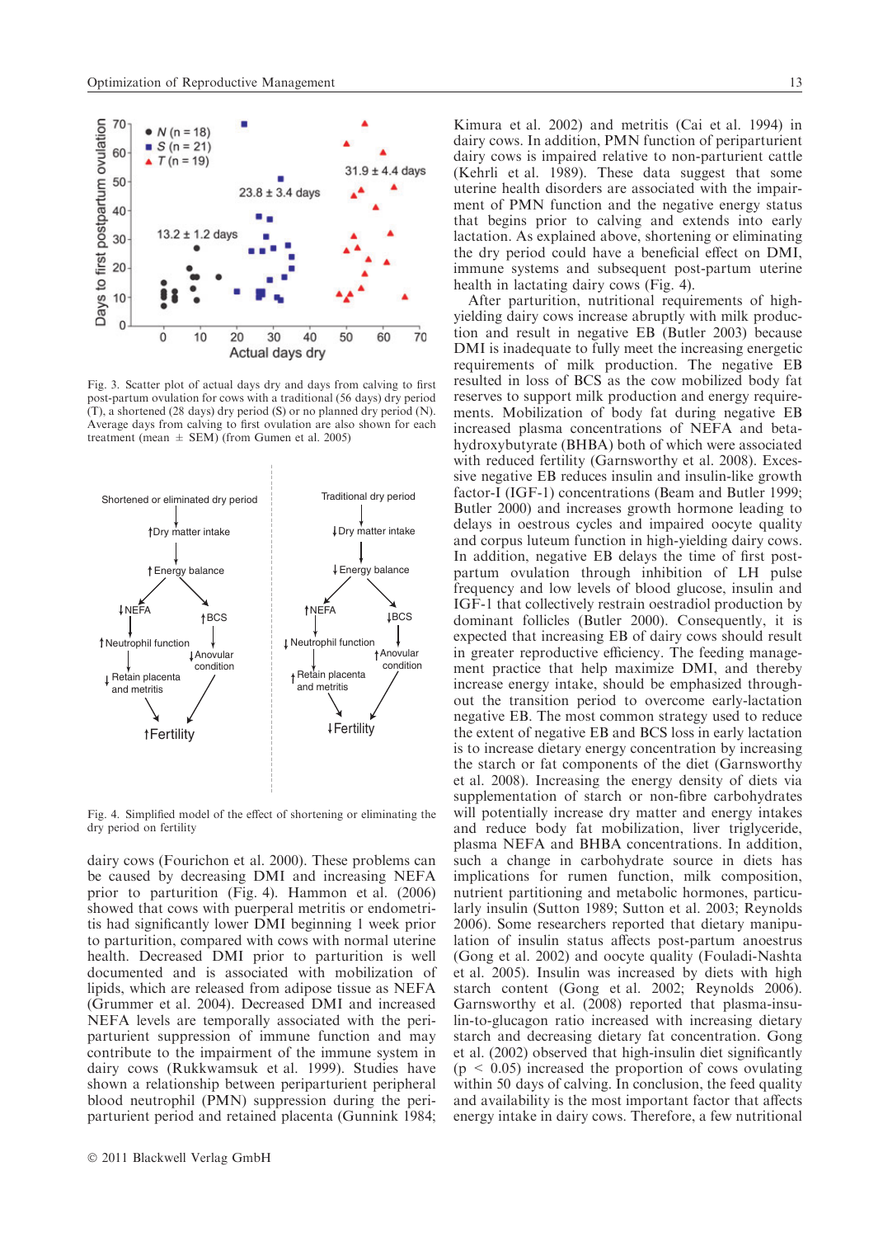

Fig. 3. Scatter plot of actual days dry and days from calving to first post-partum ovulation for cows with a traditional (56 days) dry period (T), a shortened (28 days) dry period (S) or no planned dry period (N). Average days from calving to first ovulation are also shown for each treatment (mean  $\pm$  SEM) (from Gumen et al. 2005)



Fig. 4. Simplified model of the effect of shortening or eliminating the dry period on fertility

dairy cows (Fourichon et al. 2000). These problems can be caused by decreasing DMI and increasing NEFA prior to parturition (Fig. 4). Hammon et al. (2006) showed that cows with puerperal metritis or endometritis had significantly lower DMI beginning 1 week prior to parturition, compared with cows with normal uterine health. Decreased DMI prior to parturition is well documented and is associated with mobilization of lipids, which are released from adipose tissue as NEFA (Grummer et al. 2004). Decreased DMI and increased NEFA levels are temporally associated with the periparturient suppression of immune function and may contribute to the impairment of the immune system in dairy cows (Rukkwamsuk et al. 1999). Studies have shown a relationship between periparturient peripheral blood neutrophil (PMN) suppression during the periparturient period and retained placenta (Gunnink 1984;

Kimura et al. 2002) and metritis (Cai et al. 1994) in dairy cows. In addition, PMN function of periparturient dairy cows is impaired relative to non-parturient cattle (Kehrli et al. 1989). These data suggest that some uterine health disorders are associated with the impairment of PMN function and the negative energy status that begins prior to calving and extends into early lactation. As explained above, shortening or eliminating the dry period could have a beneficial effect on DMI, immune systems and subsequent post-partum uterine health in lactating dairy cows (Fig. 4).

After parturition, nutritional requirements of highyielding dairy cows increase abruptly with milk production and result in negative EB (Butler 2003) because DMI is inadequate to fully meet the increasing energetic requirements of milk production. The negative EB resulted in loss of BCS as the cow mobilized body fat reserves to support milk production and energy requirements. Mobilization of body fat during negative EB increased plasma concentrations of NEFA and betahydroxybutyrate (BHBA) both of which were associated with reduced fertility (Garnsworthy et al. 2008). Excessive negative EB reduces insulin and insulin-like growth factor-I (IGF-1) concentrations (Beam and Butler 1999; Butler 2000) and increases growth hormone leading to delays in oestrous cycles and impaired oocyte quality and corpus luteum function in high-yielding dairy cows. In addition, negative EB delays the time of first postpartum ovulation through inhibition of LH pulse frequency and low levels of blood glucose, insulin and IGF-1 that collectively restrain oestradiol production by dominant follicles (Butler 2000). Consequently, it is expected that increasing EB of dairy cows should result in greater reproductive efficiency. The feeding management practice that help maximize DMI, and thereby increase energy intake, should be emphasized throughout the transition period to overcome early-lactation negative EB. The most common strategy used to reduce the extent of negative EB and BCS loss in early lactation is to increase dietary energy concentration by increasing the starch or fat components of the diet (Garnsworthy et al. 2008). Increasing the energy density of diets via supplementation of starch or non-fibre carbohydrates will potentially increase dry matter and energy intakes and reduce body fat mobilization, liver triglyceride, plasma NEFA and BHBA concentrations. In addition, such a change in carbohydrate source in diets has implications for rumen function, milk composition, nutrient partitioning and metabolic hormones, particularly insulin (Sutton 1989; Sutton et al. 2003; Reynolds 2006). Some researchers reported that dietary manipulation of insulin status affects post-partum anoestrus (Gong et al. 2002) and oocyte quality (Fouladi-Nashta et al. 2005). Insulin was increased by diets with high starch content (Gong et al. 2002; Reynolds 2006). Garnsworthy et al. (2008) reported that plasma-insulin-to-glucagon ratio increased with increasing dietary starch and decreasing dietary fat concentration. Gong et al. (2002) observed that high-insulin diet significantly  $(p < 0.05)$  increased the proportion of cows ovulating within 50 days of calving. In conclusion, the feed quality and availability is the most important factor that affects energy intake in dairy cows. Therefore, a few nutritional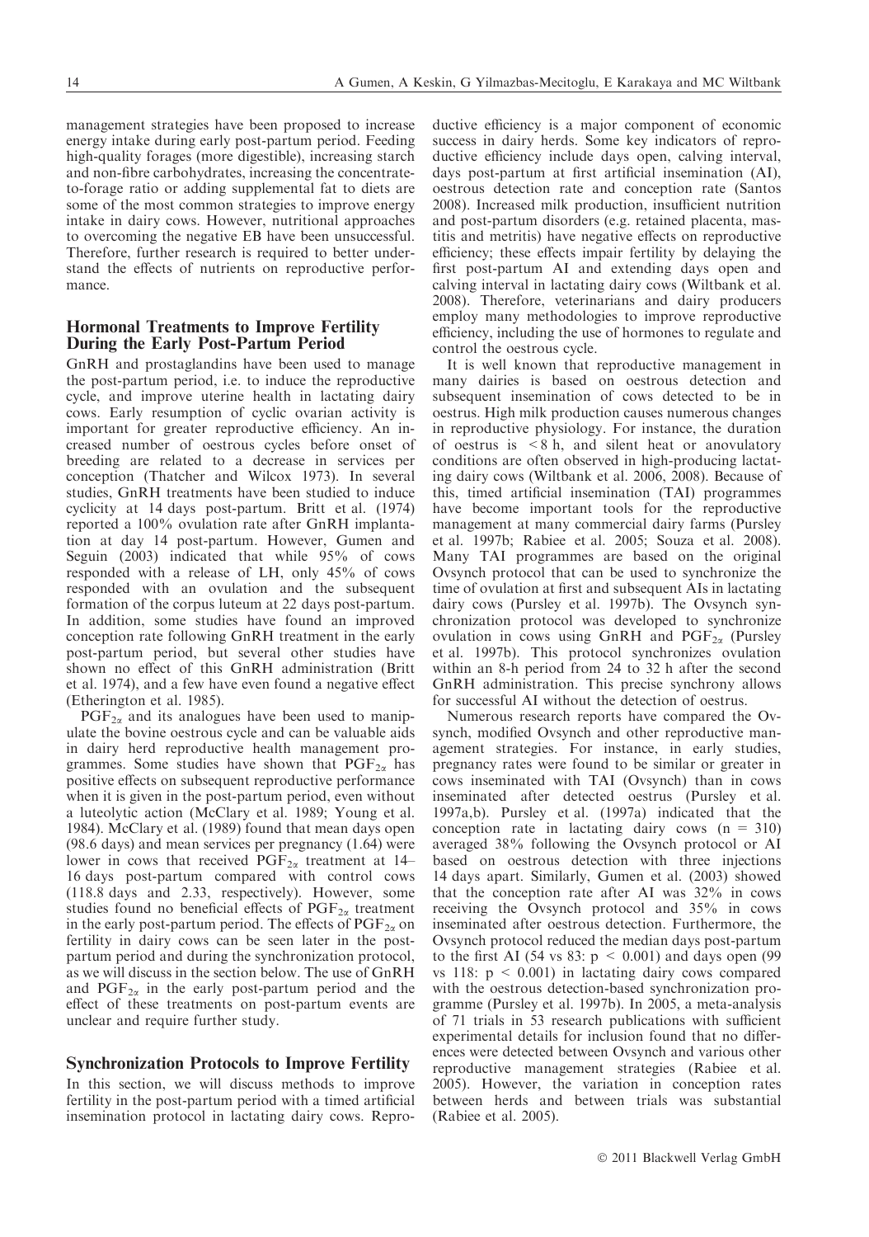management strategies have been proposed to increase energy intake during early post-partum period. Feeding high-quality forages (more digestible), increasing starch and non-fibre carbohydrates, increasing the concentrateto-forage ratio or adding supplemental fat to diets are some of the most common strategies to improve energy intake in dairy cows. However, nutritional approaches to overcoming the negative EB have been unsuccessful. Therefore, further research is required to better understand the effects of nutrients on reproductive performance.

#### Hormonal Treatments to Improve Fertility During the Early Post-Partum Period

GnRH and prostaglandins have been used to manage the post-partum period, i.e. to induce the reproductive cycle, and improve uterine health in lactating dairy cows. Early resumption of cyclic ovarian activity is important for greater reproductive efficiency. An increased number of oestrous cycles before onset of breeding are related to a decrease in services per conception (Thatcher and Wilcox 1973). In several studies, GnRH treatments have been studied to induce cyclicity at 14 days post-partum. Britt et al. (1974) reported a 100% ovulation rate after GnRH implantation at day 14 post-partum. However, Gumen and Seguin (2003) indicated that while 95% of cows responded with a release of LH, only 45% of cows responded with an ovulation and the subsequent formation of the corpus luteum at 22 days post-partum. In addition, some studies have found an improved conception rate following GnRH treatment in the early post-partum period, but several other studies have shown no effect of this GnRH administration (Britt et al. 1974), and a few have even found a negative effect (Etherington et al. 1985).

 $PGF_{2\alpha}$  and its analogues have been used to manipulate the bovine oestrous cycle and can be valuable aids in dairy herd reproductive health management programmes. Some studies have shown that  $PGF_{2\alpha}$  has positive effects on subsequent reproductive performance when it is given in the post-partum period, even without a luteolytic action (McClary et al. 1989; Young et al. 1984). McClary et al. (1989) found that mean days open (98.6 days) and mean services per pregnancy (1.64) were lower in cows that received  $PGF_{2\alpha}$  treatment at 14– 16 days post-partum compared with control cows (118.8 days and 2.33, respectively). However, some studies found no beneficial effects of  $PGF_{2\alpha}$  treatment in the early post-partum period. The effects of  $\text{PGF}_{2\alpha}$  on fertility in dairy cows can be seen later in the postpartum period and during the synchronization protocol, as we will discuss in the section below. The use of GnRH and  $PGF_{2\alpha}$  in the early post-partum period and the effect of these treatments on post-partum events are unclear and require further study.

#### Synchronization Protocols to Improve Fertility

In this section, we will discuss methods to improve fertility in the post-partum period with a timed artificial insemination protocol in lactating dairy cows. Repro-

ductive efficiency is a major component of economic success in dairy herds. Some key indicators of reproductive efficiency include days open, calving interval, days post-partum at first artificial insemination (AI), oestrous detection rate and conception rate (Santos 2008). Increased milk production, insufficient nutrition and post-partum disorders (e.g. retained placenta, mastitis and metritis) have negative effects on reproductive efficiency; these effects impair fertility by delaying the first post-partum AI and extending days open and calving interval in lactating dairy cows (Wiltbank et al. 2008). Therefore, veterinarians and dairy producers employ many methodologies to improve reproductive efficiency, including the use of hormones to regulate and control the oestrous cycle.

It is well known that reproductive management in many dairies is based on oestrous detection and subsequent insemination of cows detected to be in oestrus. High milk production causes numerous changes in reproductive physiology. For instance, the duration of oestrus is  $\leq 8$  h, and silent heat or anovulatory conditions are often observed in high-producing lactating dairy cows (Wiltbank et al. 2006, 2008). Because of this, timed artificial insemination (TAI) programmes have become important tools for the reproductive management at many commercial dairy farms (Pursley et al. 1997b; Rabiee et al. 2005; Souza et al. 2008). Many TAI programmes are based on the original Ovsynch protocol that can be used to synchronize the time of ovulation at first and subsequent AIs in lactating dairy cows (Pursley et al. 1997b). The Ovsynch synchronization protocol was developed to synchronize ovulation in cows using GnRH and  $PGF_{2\alpha}$  (Pursley et al. 1997b). This protocol synchronizes ovulation within an 8-h period from 24 to 32 h after the second GnRH administration. This precise synchrony allows for successful AI without the detection of oestrus.

Numerous research reports have compared the Ovsynch, modified Ovsynch and other reproductive management strategies. For instance, in early studies, pregnancy rates were found to be similar or greater in cows inseminated with TAI (Ovsynch) than in cows inseminated after detected oestrus (Pursley et al. 1997a,b). Pursley et al. (1997a) indicated that the conception rate in lactating dairy cows  $(n = 310)$ averaged 38% following the Ovsynch protocol or AI based on oestrous detection with three injections 14 days apart. Similarly, Gumen et al. (2003) showed that the conception rate after AI was 32% in cows receiving the Ovsynch protocol and 35% in cows inseminated after oestrous detection. Furthermore, the Ovsynch protocol reduced the median days post-partum to the first AI (54 vs 83:  $p \le 0.001$ ) and days open (99) vs 118:  $p \le 0.001$  in lactating dairy cows compared with the oestrous detection-based synchronization programme (Pursley et al. 1997b). In 2005, a meta-analysis of 71 trials in 53 research publications with sufficient experimental details for inclusion found that no differences were detected between Ovsynch and various other reproductive management strategies (Rabiee et al. 2005). However, the variation in conception rates between herds and between trials was substantial (Rabiee et al. 2005).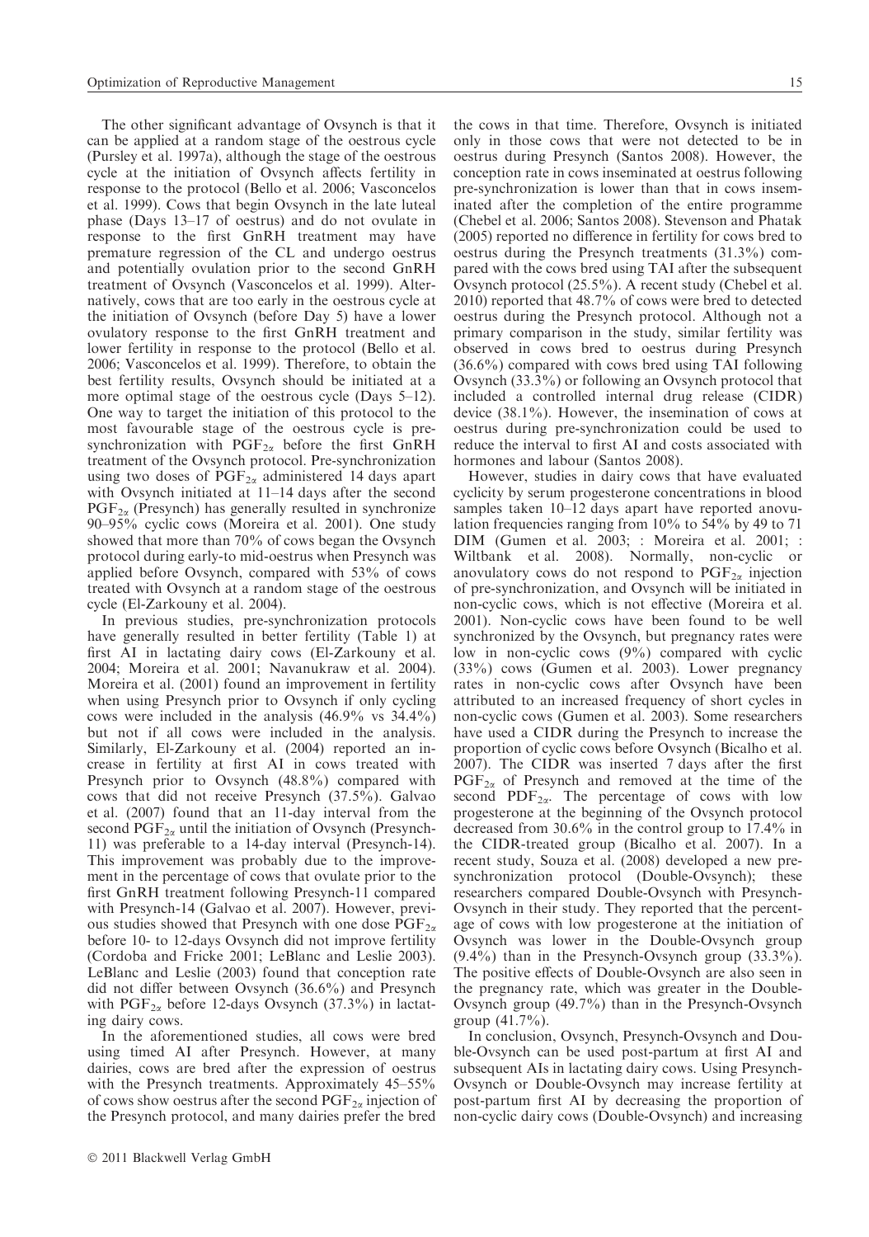The other significant advantage of Ovsynch is that it can be applied at a random stage of the oestrous cycle (Pursley et al. 1997a), although the stage of the oestrous cycle at the initiation of Ovsynch affects fertility in response to the protocol (Bello et al. 2006; Vasconcelos et al. 1999). Cows that begin Ovsynch in the late luteal phase (Days 13–17 of oestrus) and do not ovulate in response to the first GnRH treatment may have premature regression of the CL and undergo oestrus and potentially ovulation prior to the second GnRH treatment of Ovsynch (Vasconcelos et al. 1999). Alternatively, cows that are too early in the oestrous cycle at the initiation of Ovsynch (before Day 5) have a lower ovulatory response to the first GnRH treatment and lower fertility in response to the protocol (Bello et al. 2006; Vasconcelos et al. 1999). Therefore, to obtain the best fertility results, Ovsynch should be initiated at a more optimal stage of the oestrous cycle (Days 5–12). One way to target the initiation of this protocol to the most favourable stage of the oestrous cycle is presynchronization with  $PGF_{2\alpha}$  before the first GnRH treatment of the Ovsynch protocol. Pre-synchronization using two doses of  $PGF_{2\alpha}$  administered 14 days apart with Ovsynch initiated at 11–14 days after the second  $PGF_{2\alpha}$  (Presynch) has generally resulted in synchronize 90–95% cyclic cows (Moreira et al. 2001). One study showed that more than 70% of cows began the Ovsynch protocol during early-to mid-oestrus when Presynch was applied before Ovsynch, compared with 53% of cows treated with Ovsynch at a random stage of the oestrous cycle (El-Zarkouny et al. 2004).

In previous studies, pre-synchronization protocols have generally resulted in better fertility (Table 1) at first AI in lactating dairy cows (El-Zarkouny et al. 2004; Moreira et al. 2001; Navanukraw et al. 2004). Moreira et al. (2001) found an improvement in fertility when using Presynch prior to Ovsynch if only cycling cows were included in the analysis (46.9% vs 34.4%) but not if all cows were included in the analysis. Similarly, El-Zarkouny et al. (2004) reported an increase in fertility at first AI in cows treated with Presynch prior to Ovsynch (48.8%) compared with cows that did not receive Presynch (37.5%). Galvao et al. (2007) found that an 11-day interval from the second  $PGF_{2\alpha}$  until the initiation of Ovsynch (Presynch-11) was preferable to a 14-day interval (Presynch-14). This improvement was probably due to the improvement in the percentage of cows that ovulate prior to the first GnRH treatment following Presynch-11 compared with Presynch-14 (Galvao et al. 2007). However, previous studies showed that Presynch with one dose  $PGF_{2\alpha}$ before 10- to 12-days Ovsynch did not improve fertility (Cordoba and Fricke 2001; LeBlanc and Leslie 2003). LeBlanc and Leslie (2003) found that conception rate did not differ between Ovsynch (36.6%) and Presynch with  $PGF_{2\alpha}$  before 12-days Ovsynch (37.3%) in lactating dairy cows.

In the aforementioned studies, all cows were bred using timed AI after Presynch. However, at many dairies, cows are bred after the expression of oestrus with the Presynch treatments. Approximately  $45-55\%$ of cows show oestrus after the second  $\text{PGF}_{2\alpha}$  injection of the Presynch protocol, and many dairies prefer the bred

the cows in that time. Therefore, Ovsynch is initiated only in those cows that were not detected to be in oestrus during Presynch (Santos 2008). However, the conception rate in cows inseminated at oestrus following pre-synchronization is lower than that in cows inseminated after the completion of the entire programme (Chebel et al. 2006; Santos 2008). Stevenson and Phatak (2005) reported no difference in fertility for cows bred to oestrus during the Presynch treatments (31.3%) compared with the cows bred using TAI after the subsequent Ovsynch protocol (25.5%). A recent study (Chebel et al. 2010) reported that 48.7% of cows were bred to detected oestrus during the Presynch protocol. Although not a primary comparison in the study, similar fertility was observed in cows bred to oestrus during Presynch (36.6%) compared with cows bred using TAI following Ovsynch (33.3%) or following an Ovsynch protocol that included a controlled internal drug release (CIDR) device (38.1%). However, the insemination of cows at oestrus during pre-synchronization could be used to reduce the interval to first AI and costs associated with hormones and labour (Santos 2008).

However, studies in dairy cows that have evaluated cyclicity by serum progesterone concentrations in blood samples taken 10–12 days apart have reported anovulation frequencies ranging from 10% to 54% by 49 to 71 DIM (Gumen et al. 2003; : Moreira et al. 2001; : Wiltbank et al. 2008). Normally, non-cyclic or anovulatory cows do not respond to  $PGF_{2\alpha}$  injection of pre-synchronization, and Ovsynch will be initiated in non-cyclic cows, which is not effective (Moreira et al. 2001). Non-cyclic cows have been found to be well synchronized by the Ovsynch, but pregnancy rates were low in non-cyclic cows (9%) compared with cyclic (33%) cows (Gumen et al. 2003). Lower pregnancy rates in non-cyclic cows after Ovsynch have been attributed to an increased frequency of short cycles in non-cyclic cows (Gumen et al. 2003). Some researchers have used a CIDR during the Presynch to increase the proportion of cyclic cows before Ovsynch (Bicalho et al. 2007). The CIDR was inserted 7 days after the first  $PGF_{2\alpha}$  of Presynch and removed at the time of the second  $PDF_{2\alpha}$ . The percentage of cows with low progesterone at the beginning of the Ovsynch protocol decreased from 30.6% in the control group to 17.4% in the CIDR-treated group (Bicalho et al. 2007). In a recent study, Souza et al. (2008) developed a new presynchronization protocol (Double-Ovsynch); these researchers compared Double-Ovsynch with Presynch-Ovsynch in their study. They reported that the percentage of cows with low progesterone at the initiation of Ovsynch was lower in the Double-Ovsynch group (9.4%) than in the Presynch-Ovsynch group (33.3%). The positive effects of Double-Ovsynch are also seen in the pregnancy rate, which was greater in the Double-Ovsynch group (49.7%) than in the Presynch-Ovsynch group (41.7%).

In conclusion, Ovsynch, Presynch-Ovsynch and Double-Ovsynch can be used post-partum at first AI and subsequent AIs in lactating dairy cows. Using Presynch-Ovsynch or Double-Ovsynch may increase fertility at post-partum first AI by decreasing the proportion of non-cyclic dairy cows (Double-Ovsynch) and increasing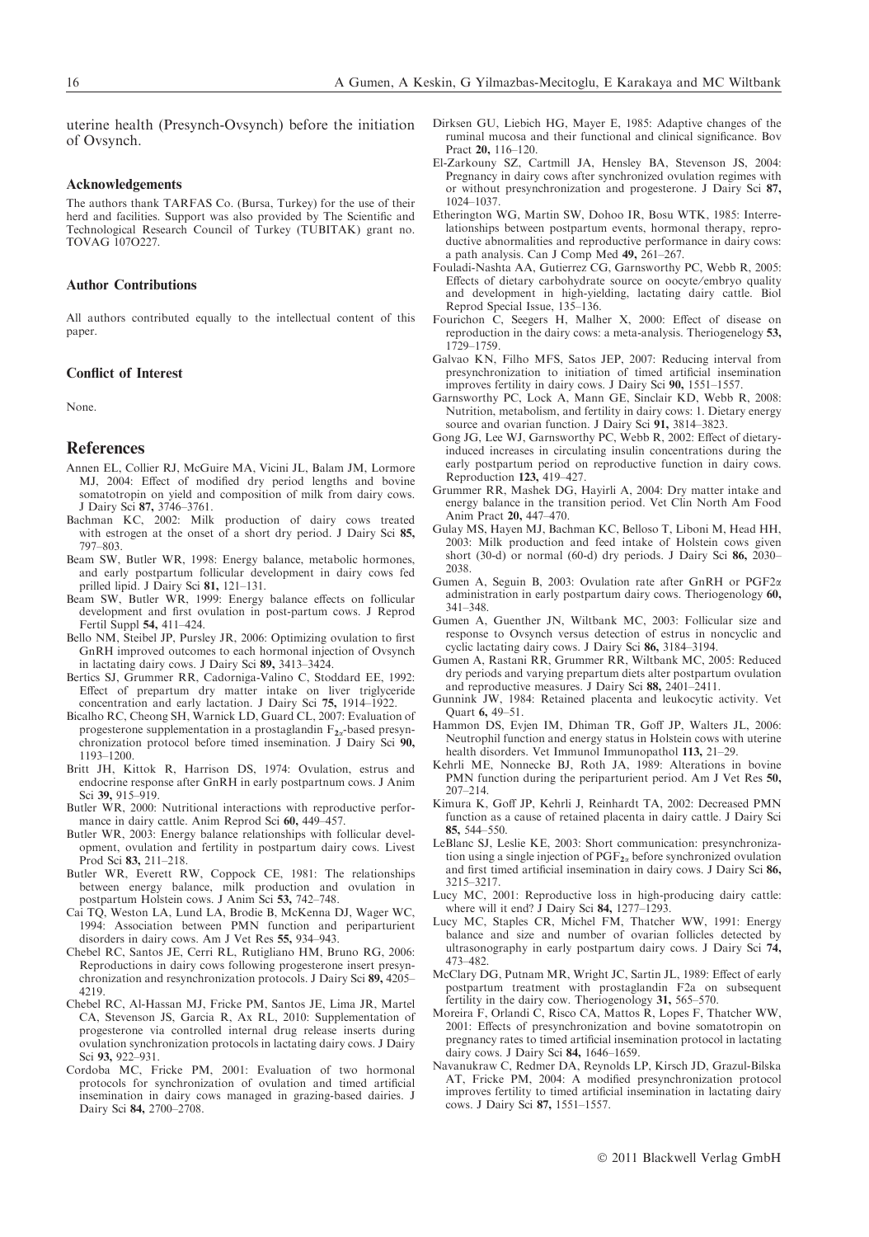uterine health (Presynch-Ovsynch) before the initiation of Ovsynch.

#### Acknowledgements

The authors thank TARFAS Co. (Bursa, Turkey) for the use of their herd and facilities. Support was also provided by The Scientific and Technological Research Council of Turkey (TUBITAK) grant no. TOVAG 107O227.

#### Author Contributions

All authors contributed equally to the intellectual content of this paper.

#### Conflict of Interest

None.

#### References

- Annen EL, Collier RJ, McGuire MA, Vicini JL, Balam JM, Lormore MJ, 2004: Effect of modified dry period lengths and bovine somatotropin on yield and composition of milk from dairy cows. J Dairy Sci 87, 3746–3761.
- Bachman KC, 2002: Milk production of dairy cows treated with estrogen at the onset of a short dry period. J Dairy Sci 85, 797–803.
- Beam SW, Butler WR, 1998: Energy balance, metabolic hormones and early postpartum follicular development in dairy cows fed prilled lipid. J Dairy Sci 81, 121–131.
- Beam SW, Butler WR, 1999: Energy balance effects on follicular development and first ovulation in post-partum cows. J Reprod Fertil Suppl 54, 411–424.
- Bello NM, Steibel JP, Pursley JR, 2006: Optimizing ovulation to first GnRH improved outcomes to each hormonal injection of Ovsynch in lactating dairy cows. J Dairy Sci 89, 3413–3424.
- Bertics SJ, Grummer RR, Cadorniga-Valino C, Stoddard EE, 1992: Effect of prepartum dry matter intake on liver triglyceride concentration and early lactation. J Dairy Sci 75, 1914–1922.
- Bicalho RC, Cheong SH, Warnick LD, Guard CL, 2007: Evaluation of progesterone supplementation in a prostaglandin  $F_{2a}$ -based presynchronization protocol before timed insemination. J Dairy Sci 90, 1193–1200.
- Britt JH, Kittok R, Harrison DS, 1974: Ovulation, estrus and endocrine response after GnRH in early postpartnum cows. J Anim Sci 39, 915-919.
- Butler WR, 2000: Nutritional interactions with reproductive performance in dairy cattle. Anim Reprod Sci 60, 449–457.
- Butler WR, 2003: Energy balance relationships with follicular development, ovulation and fertility in postpartum dairy cows. Livest Prod Sci 83, 211–218.
- Butler WR, Everett RW, Coppock CE, 1981: The relationships between energy balance, milk production and ovulation in postpartum Holstein cows. J Anim Sci 53, 742–748.
- Cai TQ, Weston LA, Lund LA, Brodie B, McKenna DJ, Wager WC, 1994: Association between PMN function and periparturient disorders in dairy cows. Am J Vet Res 55, 934–943.
- Chebel RC, Santos JE, Cerri RL, Rutigliano HM, Bruno RG, 2006: Reproductions in dairy cows following progesterone insert presynchronization and resynchronization protocols. J Dairy Sci 89, 4205– 4219.
- Chebel RC, Al-Hassan MJ, Fricke PM, Santos JE, Lima JR, Martel CA, Stevenson JS, Garcia R, Ax RL, 2010: Supplementation of progesterone via controlled internal drug release inserts during ovulation synchronization protocols in lactating dairy cows. J Dairy Sci 93, 922–931.
- Cordoba MC, Fricke PM, 2001: Evaluation of two hormonal protocols for synchronization of ovulation and timed artificial insemination in dairy cows managed in grazing-based dairies. J Dairy Sci 84, 2700–2708.
- Dirksen GU, Liebich HG, Mayer E, 1985: Adaptive changes of the ruminal mucosa and their functional and clinical significance. Bov Pract 20, 116–120.
- El-Zarkouny SZ, Cartmill JA, Hensley BA, Stevenson JS, 2004: Pregnancy in dairy cows after synchronized ovulation regimes with or without presynchronization and progesterone. J Dairy Sci 87, 1024–1037.
- Etherington WG, Martin SW, Dohoo IR, Bosu WTK, 1985: Interrelationships between postpartum events, hormonal therapy, reproductive abnormalities and reproductive performance in dairy cows: a path analysis. Can J Comp Med 49, 261–267.
- Fouladi-Nashta AA, Gutierrez CG, Garnsworthy PC, Webb R, 2005: Effects of dietary carbohydrate source on oocyte ⁄ embryo quality and development in high-yielding, lactating dairy cattle. Biol Reprod Special Issue, 135–136.
- Fourichon C, Seegers H, Malher X, 2000: Effect of disease on reproduction in the dairy cows: a meta-analysis. Theriogenelogy 53, 1729–1759.
- Galvao KN, Filho MFS, Satos JEP, 2007: Reducing interval from presynchronization to initiation of timed artificial insemination improves fertility in dairy cows. J Dairy Sci 90, 1551–1557.
- Garnsworthy PC, Lock A, Mann GE, Sinclair KD, Webb R, 2008: Nutrition, metabolism, and fertility in dairy cows: 1. Dietary energy source and ovarian function. J Dairy Sci 91, 3814–3823.
- Gong JG, Lee WJ, Garnsworthy PC, Webb R, 2002: Effect of dietaryinduced increases in circulating insulin concentrations during the early postpartum period on reproductive function in dairy cows. Reproduction 123, 419–427.
- Grummer RR, Mashek DG, Hayirli A, 2004: Dry matter intake and energy balance in the transition period. Vet Clin North Am Food Anim Pract 20, 447–470.
- Gulay MS, Hayen MJ, Bachman KC, Belloso T, Liboni M, Head HH, 2003: Milk production and feed intake of Holstein cows given short (30-d) or normal (60-d) dry periods. J Dairy Sci 86, 2030– 2038.
- Gumen A, Seguin B, 2003: Ovulation rate after GnRH or PGF2a administration in early postpartum dairy cows. Theriogenology 60, 341–348.
- Gumen A, Guenther JN, Wiltbank MC, 2003: Follicular size and response to Ovsynch versus detection of estrus in noncyclic and cyclic lactating dairy cows. J Dairy Sci 86, 3184–3194.
- Gumen A, Rastani RR, Grummer RR, Wiltbank MC, 2005: Reduced dry periods and varying prepartum diets alter postpartum ovulation and reproductive measures. J Dairy Sci 88, 2401–2411.
- Gunnink JW, 1984: Retained placenta and leukocytic activity. Vet Quart 6, 49–51.
- Hammon DS, Evjen IM, Dhiman TR, Goff JP, Walters JL, 2006: Neutrophil function and energy status in Holstein cows with uterine health disorders. Vet Immunol Immunopathol 113, 21–29.
- Kehrli ME, Nonnecke BJ, Roth JA, 1989: Alterations in bovine PMN function during the periparturient period. Am J Vet Res 50, 207–214.
- Kimura K, Goff JP, Kehrli J, Reinhardt TA, 2002: Decreased PMN function as a cause of retained placenta in dairy cattle. J Dairy Sci 85, 544–550.
- LeBlanc SJ, Leslie KE, 2003: Short communication: presynchronization using a single injection of  $PGF_{2\alpha}$  before synchronized ovulation and first timed artificial insemination in dairy cows. J Dairy Sci 86, 3215–3217.
- Lucy MC, 2001: Reproductive loss in high-producing dairy cattle: where will it end? J Dairy Sci 84, 1277–1293.
- Lucy MC, Staples CR, Michel FM, Thatcher WW, 1991: Energy balance and size and number of ovarian follicles detected by ultrasonography in early postpartum dairy cows. J Dairy Sci 74, 473–482.
- McClary DG, Putnam MR, Wright JC, Sartin JL, 1989: Effect of early postpartum treatment with prostaglandin F2a on subsequent fertility in the dairy cow. Theriogenology 31, 565–570.
- Moreira F, Orlandi C, Risco CA, Mattos R, Lopes F, Thatcher WW, 2001: Effects of presynchronization and bovine somatotropin on pregnancy rates to timed artificial insemination protocol in lactating dairy cows. J Dairy Sci 84, 1646–1659.
- Navanukraw C, Redmer DA, Reynolds LP, Kirsch JD, Grazul-Bilska AT, Fricke PM, 2004: A modified presynchronization protocol improves fertility to timed artificial insemination in lactating dairy cows. J Dairy Sci 87, 1551–1557.